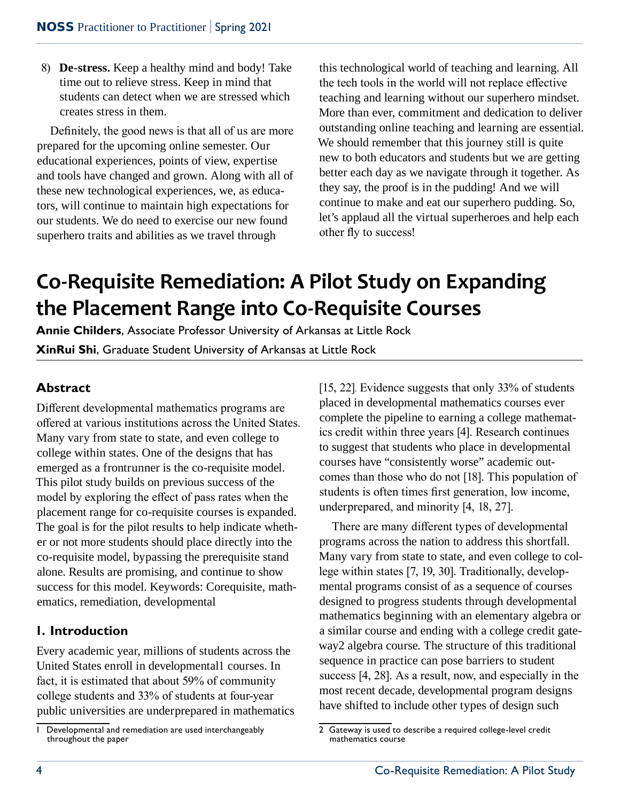8) **De-stress.** Keep a healthy mind and body! Take time out to relieve stress. Keep in mind that students can detect when we are stressed which creates stress in them.

Definitely, the good news is that all of us are more prepared for the upcoming online semester. Our educational experiences, points of view, expertise and tools have changed and grown. Along with all of these new technological experiences, we, as educators, will continue to maintain high expectations for our students. We do need to exercise our new found superhero traits and abilities as we travel through

this technological world of teaching and learning. All the tech tools in the world will not replace effective teaching and learning without our superhero mindset. More than ever, commitment and dedication to deliver outstanding online teaching and learning are essential. We should remember that this journey still is quite new to both educators and students but we are getting better each day as we navigate through it together. As they say, the proof is in the pudding! And we will continue to make and eat our superhero pudding. So, let's applaud all the virtual superheroes and help each other fly to success!

# **Co-Requisite Remediation: A Pilot Study on Expanding the Placement Range into Co-Requisite Courses**

**Annie Childers**, Associate Professor University of Arkansas at Little Rock **XinRui Shi**, Graduate Student University of Arkansas at Little Rock

## **Abstract**

Different developmental mathematics programs are offered at various institutions across the United States. Many vary from state to state, and even college to college within states. One of the designs that has emerged as a frontrunner is the co-requisite model. This pilot study builds on previous success of the model by exploring the effect of pass rates when the placement range for co-requisite courses is expanded. The goal is for the pilot results to help indicate whether or not more students should place directly into the co-requisite model, bypassing the prerequisite stand alone. Results are promising, and continue to show success for this model. Keywords: Corequisite, mathematics, remediation, developmental

## **1. Introduction**

Every academic year, millions of students across the United States enroll in developmental1 courses. In fact, it is estimated that about 59% of community college students and 33% of students at four-year public universities are underprepared in mathematics [15, 22]. Evidence suggests that only 33% of students placed in developmental mathematics courses ever complete the pipeline to earning a college mathematics credit within three years [4]. Research continues to suggest that students who place in developmental courses have "consistently worse" academic outcomes than those who do not [18]. This population of students is often times first generation, low income, underprepared, and minority [4, 18, 27].

There are many different types of developmental programs across the nation to address this shortfall. Many vary from state to state, and even college to college within states [7, 19, 30]. Traditionally, developmental programs consist of as a sequence of courses designed to progress students through developmental mathematics beginning with an elementary algebra or a similar course and ending with a college credit gateway2 algebra course. The structure of this traditional sequence in practice can pose barriers to student success [4, 28]. As a result, now, and especially in the most recent decade, developmental program designs have shifted to include other types of design such

<sup>1</sup> Developmental and remediation are used interchangeably throughout the paper

<sup>2</sup> Gateway is used to describe a required college-level credit mathematics course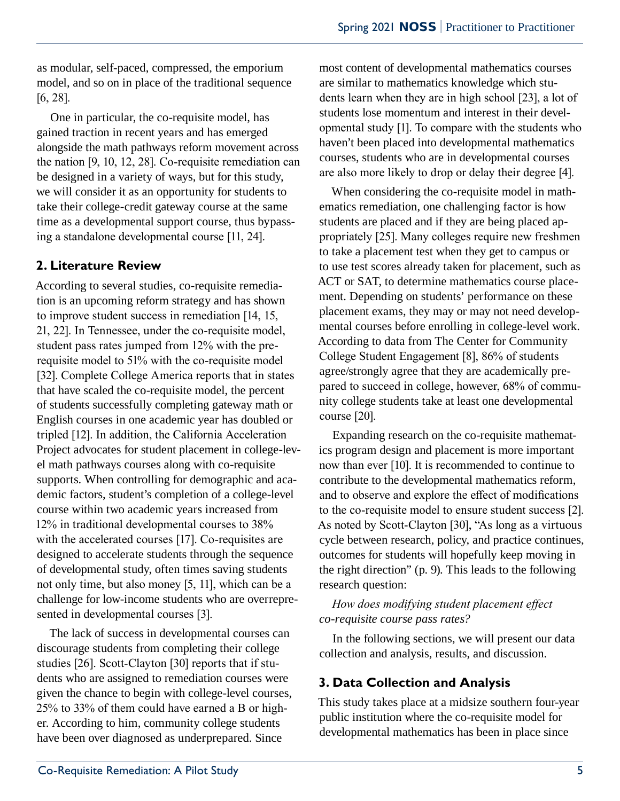as modular, self-paced, compressed, the emporium model, and so on in place of the traditional sequence [6, 28].

One in particular, the co-requisite model, has gained traction in recent years and has emerged alongside the math pathways reform movement across the nation [9, 10, 12, 28]. Co-requisite remediation can be designed in a variety of ways, but for this study, we will consider it as an opportunity for students to take their college-credit gateway course at the same time as a developmental support course, thus bypassing a standalone developmental course [11, 24].

## **2. Literature Review**

According to several studies, co-requisite remediation is an upcoming reform strategy and has shown to improve student success in remediation [14, 15, 21, 22]. In Tennessee, under the co-requisite model, student pass rates jumped from 12% with the prerequisite model to 51% with the co-requisite model [32]. Complete College America reports that in states that have scaled the co-requisite model, the percent of students successfully completing gateway math or English courses in one academic year has doubled or tripled [12]. In addition, the California Acceleration Project advocates for student placement in college-level math pathways courses along with co-requisite supports. When controlling for demographic and academic factors, student's completion of a college-level course within two academic years increased from 12% in traditional developmental courses to 38% with the accelerated courses [17]. Co-requisites are designed to accelerate students through the sequence of developmental study, often times saving students not only time, but also money [5, 11], which can be a challenge for low-income students who are overrepresented in developmental courses [3].

The lack of success in developmental courses can discourage students from completing their college studies [26]. Scott-Clayton [30] reports that if students who are assigned to remediation courses were given the chance to begin with college-level courses, 25% to 33% of them could have earned a B or higher. According to him, community college students have been over diagnosed as underprepared. Since

most content of developmental mathematics courses are similar to mathematics knowledge which students learn when they are in high school [23], a lot of students lose momentum and interest in their developmental study [1]. To compare with the students who haven't been placed into developmental mathematics courses, students who are in developmental courses are also more likely to drop or delay their degree [4].

When considering the co-requisite model in mathematics remediation, one challenging factor is how students are placed and if they are being placed appropriately [25]. Many colleges require new freshmen to take a placement test when they get to campus or to use test scores already taken for placement, such as ACT or SAT, to determine mathematics course placement. Depending on students' performance on these placement exams, they may or may not need developmental courses before enrolling in college-level work. According to data from The Center for Community College Student Engagement [8], 86% of students agree/strongly agree that they are academically prepared to succeed in college, however, 68% of community college students take at least one developmental course [20].

Expanding research on the co-requisite mathematics program design and placement is more important now than ever [10]. It is recommended to continue to contribute to the developmental mathematics reform, and to observe and explore the effect of modifications to the co-requisite model to ensure student success [2]. As noted by Scott-Clayton [30], "As long as a virtuous cycle between research, policy, and practice continues, outcomes for students will hopefully keep moving in the right direction" (p. 9). This leads to the following research question:

#### *How does modifying student placement effect co-requisite course pass rates?*

In the following sections, we will present our data collection and analysis, results, and discussion.

## **3. Data Collection and Analysis**

This study takes place at a midsize southern four-year public institution where the co-requisite model for developmental mathematics has been in place since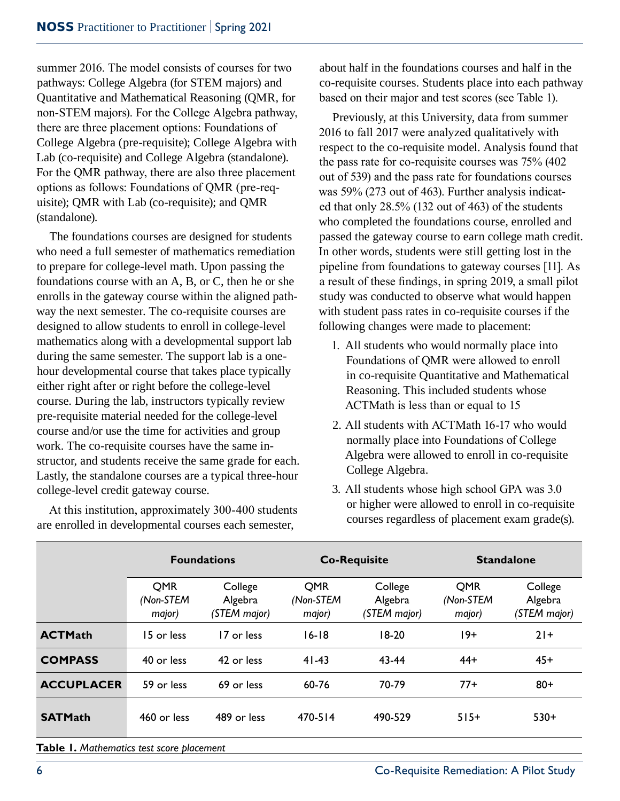summer 2016. The model consists of courses for two pathways: College Algebra (for STEM majors) and Quantitative and Mathematical Reasoning (QMR, for non-STEM majors). For the College Algebra pathway, there are three placement options: Foundations of College Algebra (pre-requisite); College Algebra with Lab (co-requisite) and College Algebra (standalone). For the QMR pathway, there are also three placement options as follows: Foundations of QMR (pre-requisite); QMR with Lab (co-requisite); and QMR (standalone).

The foundations courses are designed for students who need a full semester of mathematics remediation to prepare for college-level math. Upon passing the foundations course with an A, B, or C, then he or she enrolls in the gateway course within the aligned pathway the next semester. The co-requisite courses are designed to allow students to enroll in college-level mathematics along with a developmental support lab during the same semester. The support lab is a onehour developmental course that takes place typically either right after or right before the college-level course. During the lab, instructors typically review pre-requisite material needed for the college-level course and/or use the time for activities and group work. The co-requisite courses have the same instructor, and students receive the same grade for each. Lastly, the standalone courses are a typical three-hour college-level credit gateway course.

At this institution, approximately 300-400 students are enrolled in developmental courses each semester,

about half in the foundations courses and half in the co-requisite courses. Students place into each pathway based on their major and test scores (see Table 1).

Previously, at this University, data from summer 2016 to fall 2017 were analyzed qualitatively with respect to the co-requisite model. Analysis found that the pass rate for co-requisite courses was 75% (402 out of 539) and the pass rate for foundations courses was 59% (273 out of 463). Further analysis indicated that only 28.5% (132 out of 463) of the students who completed the foundations course, enrolled and passed the gateway course to earn college math credit. In other words, students were still getting lost in the pipeline from foundations to gateway courses [11]. As a result of these findings, in spring 2019, a small pilot study was conducted to observe what would happen with student pass rates in co-requisite courses if the following changes were made to placement:

- 1. All students who would normally place into Foundations of QMR were allowed to enroll in co-requisite Quantitative and Mathematical Reasoning. This included students whose ACTMath is less than or equal to 15
- 2. All students with ACTMath 16-17 who would normally place into Foundations of College Algebra were allowed to enroll in co-requisite College Algebra.
- 3. All students whose high school GPA was 3.0 or higher were allowed to enroll in co-requisite courses regardless of placement exam grade(s).

|                   |                                   | <b>Foundations</b>                 |                                   | <b>Co-Requisite</b>                | <b>Standalone</b>                 |                                    |  |
|-------------------|-----------------------------------|------------------------------------|-----------------------------------|------------------------------------|-----------------------------------|------------------------------------|--|
|                   | <b>OMR</b><br>(Non-STEM<br>major) | College<br>Algebra<br>(STEM major) | <b>OMR</b><br>(Non-STEM<br>major) | College<br>Algebra<br>(STEM major) | <b>OMR</b><br>(Non-STEM<br>major) | College<br>Algebra<br>(STEM major) |  |
| <b>ACTMath</b>    | 15 or less                        | 17 or less                         | $16 - 18$                         | $18-20$                            | 19+                               | $21+$                              |  |
| <b>COMPASS</b>    | 40 or less                        | 42 or less                         | $41 - 43$                         | 43-44                              | $44+$                             | $45+$                              |  |
| <b>ACCUPLACER</b> | 59 or less                        | 69 or less                         | 60-76                             | 70-79                              | $77+$                             | $80+$                              |  |
| <b>SATMath</b>    | 460 or less                       | 489 or less                        | 470-514                           | 490-529                            | $515+$                            | $530+$                             |  |

**Table 1.** *Mathematics test score placement*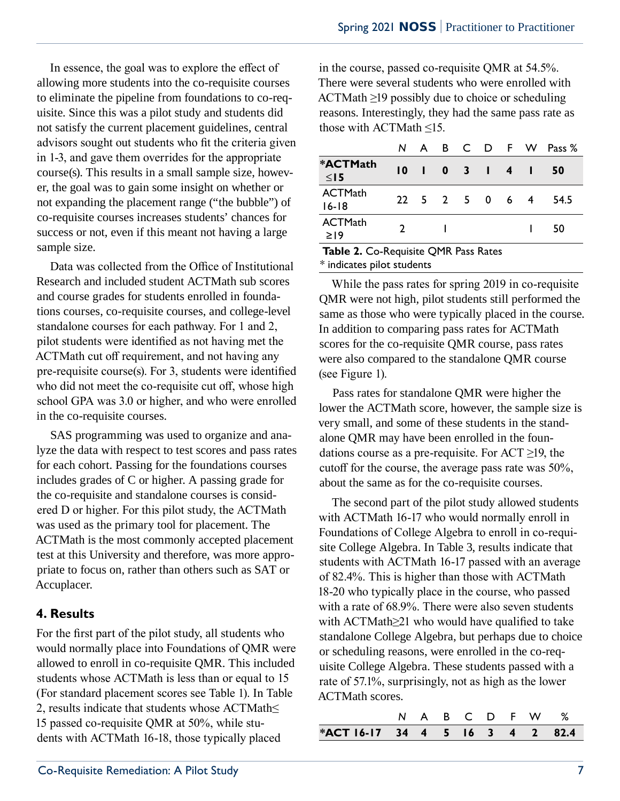In essence, the goal was to explore the effect of allowing more students into the co-requisite courses to eliminate the pipeline from foundations to co-requisite. Since this was a pilot study and students did not satisfy the current placement guidelines, central advisors sought out students who fit the criteria given in 1-3, and gave them overrides for the appropriate course(s). This results in a small sample size, however, the goal was to gain some insight on whether or not expanding the placement range ("the bubble") of co-requisite courses increases students' chances for success or not, even if this meant not having a large sample size.

Data was collected from the Office of Institutional Research and included student ACTMath sub scores and course grades for students enrolled in foundations courses, co-requisite courses, and college-level standalone courses for each pathway. For 1 and 2, pilot students were identified as not having met the ACTMath cut off requirement, and not having any pre-requisite course(s). For 3, students were identified who did not meet the co-requisite cut off, whose high school GPA was 3.0 or higher, and who were enrolled in the co-requisite courses.

SAS programming was used to organize and analyze the data with respect to test scores and pass rates for each cohort. Passing for the foundations courses includes grades of C or higher. A passing grade for the co-requisite and standalone courses is considered D or higher. For this pilot study, the ACTMath was used as the primary tool for placement. The ACTMath is the most commonly accepted placement test at this University and therefore, was more appropriate to focus on, rather than others such as SAT or Accuplacer.

#### **4. Results**

For the first part of the pilot study, all students who would normally place into Foundations of QMR were allowed to enroll in co-requisite QMR. This included students whose ACTMath is less than or equal to 15 (For standard placement scores see Table 1). In Table 2, results indicate that students whose ACTMath≤ 15 passed co-requisite QMR at 50%, while students with ACTMath 16-18, those typically placed

in the course, passed co-requisite QMR at 54.5%. There were several students who were enrolled with ACTMath ≥19 possibly due to choice or scheduling reasons. Interestingly, they had the same pass rate as those with ACTMath ≤15.

|                        | N.              |                        |                |  | A B C D F W Pass % |
|------------------------|-----------------|------------------------|----------------|--|--------------------|
| *ACTMath<br>$\leq$ 15  | $\overline{10}$ |                        | 1 0 3 1 4 1    |  | 50                 |
| ACTMath<br>$16 - 18$   |                 |                        | 22 5 2 5 0 6 4 |  | 54.5               |
| ACTMath<br>$\geq$ 19   | $\mathcal{P}$   |                        |                |  | 50                 |
| — <b>11</b> A A<br>- - |                 | $\cdots$ $\sim$ $\sim$ | . .            |  |                    |

**Table 2.** Co-Requisite QMR Pass Rates \* indicates pilot students

While the pass rates for spring 2019 in co-requisite QMR were not high, pilot students still performed the same as those who were typically placed in the course. In addition to comparing pass rates for ACTMath scores for the co-requisite QMR course, pass rates were also compared to the standalone QMR course (see Figure 1).

Pass rates for standalone QMR were higher the lower the ACTMath score, however, the sample size is very small, and some of these students in the standalone QMR may have been enrolled in the foundations course as a pre-requisite. For  $ACT \ge 19$ , the cutoff for the course, the average pass rate was 50%, about the same as for the co-requisite courses.

The second part of the pilot study allowed students with ACTMath 16-17 who would normally enroll in Foundations of College Algebra to enroll in co-requisite College Algebra. In Table 3, results indicate that students with ACTMath 16-17 passed with an average of 82.4%. This is higher than those with ACTMath 18-20 who typically place in the course, who passed with a rate of 68.9%. There were also seven students with ACTMath≥21 who would have qualified to take standalone College Algebra, but perhaps due to choice or scheduling reasons, were enrolled in the co-requisite College Algebra. These students passed with a rate of 57.1%, surprisingly, not as high as the lower ACTMath scores.

| *ACT 16-17 34 4 5 16 3 4 2 82.4 |  |  |  |                 |  |
|---------------------------------|--|--|--|-----------------|--|
|                                 |  |  |  | N A B C D F W % |  |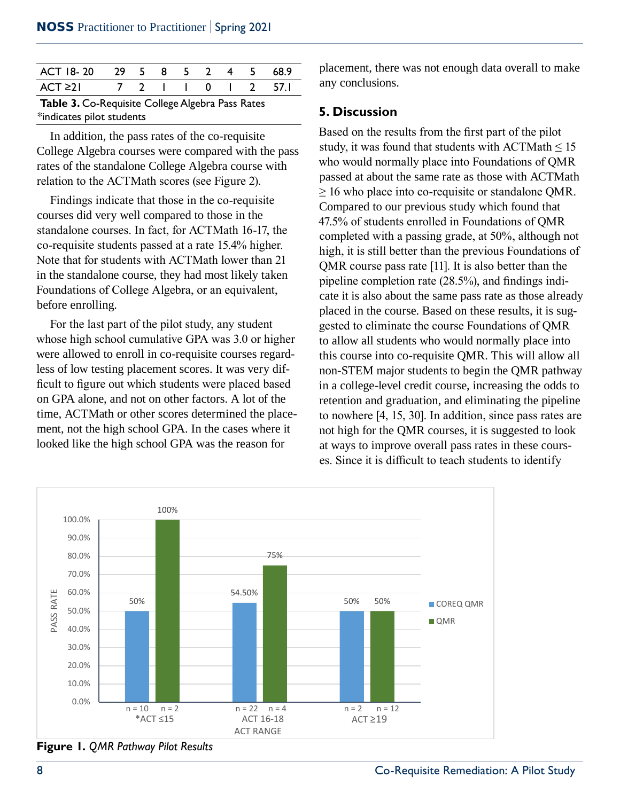| ACT 18-20 29 5 8 5 2 4 5                         |  |  |  |  |  |  |  | 68.9               |
|--------------------------------------------------|--|--|--|--|--|--|--|--------------------|
| ACT 21                                           |  |  |  |  |  |  |  | 7 2 1 1 0 1 2 57.1 |
| Table 3. Co-Requisite College Algebra Pass Rates |  |  |  |  |  |  |  |                    |

\*indicates pilot students

In addition, the pass rates of the co-requisite College Algebra courses were compared with the pass rates of the standalone College Algebra course with relation to the ACTMath scores (see Figure 2).

Findings indicate that those in the co-requisite courses did very well compared to those in the standalone courses. In fact, for ACTMath 16-17, the co-requisite students passed at a rate 15.4% higher. Note that for students with ACTMath lower than 21 in the standalone course, they had most likely taken Foundations of College Algebra, or an equivalent, propertie completion rate (∠ before enrolling.<br>
and the course Records and the course Records and the course Records and the course Records and the course Records and the course Records and the course Records and the course Records and the course Reco

For the last part of the pilot study, any student gested to eliminate the cou whose high school cumulative GPA was 3.0 or higher were allowed to enroll in co-requisite courses regardless of low testing placement scores. It was very dif-Figure out which students were placed based in a college-level credit course, in figure out which students were placed based in a college-level credit course, in on GPA alone, and not on other factors. A lot of the time, ACTMath or other scores determined the place-<br>to nowhere [4, 15, 30]. In addition, the course. ment, not the high school GPA. In the cases where it looked like the high school GPA was the reason for  $\alpha$  at ways to improve overall pass rates at ways to improve overall pass rates at ways to improve overall pass rates were at  $\alpha$ 

placement, there was not enough data overall to make any conclusions.

#### **5. Discussion**

Based on the results from the first part of the pilot study, it was found that students with  $\text{ACTMath} \leq 15$ who would normally place into Foundations of QMR passed at about the same rate as those with ACTMath  $\geq$  16 who place into co-requisite or standalone QMR. Compared to our previous study which found that 47.5% of students enrolled in Foundations of QMR standalone courses. In fact, for ACTMath 10-17, the completed with a passing grade, at 50%, although not high, it is still better than the previous Foundations of  $QMR$  course pass rate [11]. It is also better than the pipeline completion rate (28.5%), and findings indicate it is also about the same pass rate as those already placed in the course. Based on these results, it is suggested to eliminate the course Foundations of QMR to allow all students who would normally place into this course into co-requisite QMR. This will allow all non-STEM major students to begin the QMR pathway in a college-level credit course, increasing the odds to retention and graduation, and eliminating the pipeline to nowhere [4, 15, 30]. In addition, since pass rates are not high for the QMR courses, it is suggested to look at ways to improve overall pass rates in these courses. Since it is difficult to teach students to identify



**Figure 1.** QMR Pathway Pilot Results **Figure 1.** *QMR Pathway Pilot Results*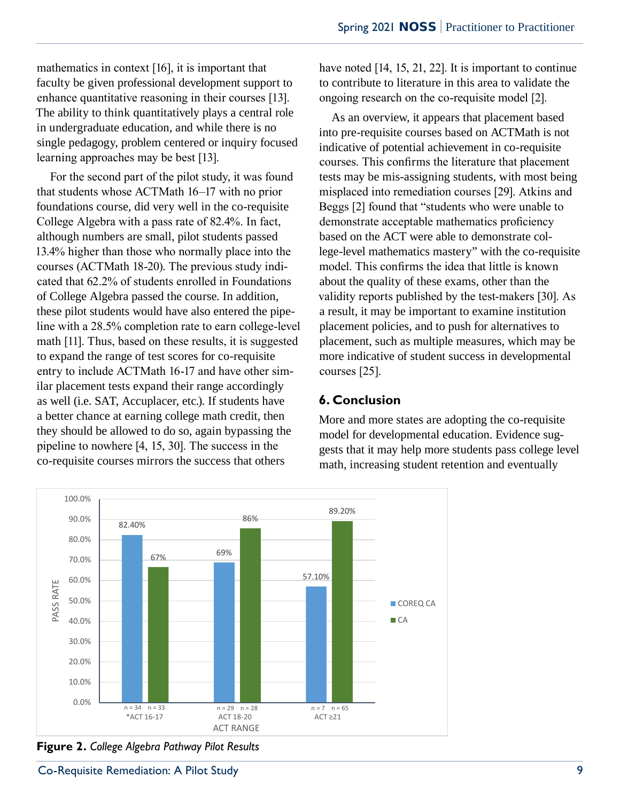mathematics in context [16], it is important that have noted [14, 15, 21, 22]. It is imp faculty be given professional development support to enhance quantitative reasoning in their courses [13]. ongoing research on the co-requisite The ability to think quantitatively plays a central role in undergraduate education, and while there is no single pedagogy, problem centered or inquiry focused learning approaches may be best [13]. In undergraduate education, and while there is no into pre-requisite courses based on ACTMath is not

For the second part of the pilot study, it was found that students whose ACTMath 16–17 with no prior misplaced into remediation courses foundations course, did very well in the co-requisite College Algebra with a pass rate of 82.4%. In fact, demonstrate acceptable mathemation although numbers are small, pilot students passed 13.4% higher than those who normally place into the lower  $\frac{1}{2}$ courses (ACTMath 18-20). The previous study indicated that 62.2% of students enrolled in Foundations of College Algebra passed the course. In addition, validity reported the state of College Algebra passed the course. In addition, these pilot students would have also entered the pipe-<br>a result, it may be import line with a 28.5% completion rate to earn college-level placement policies, and math [11]. Thus, based on these results, it is suggested placement, such as mult to expand the range of test scores for co-requisite entry to include ACTMath 16-17 and have other similar placement tests expand their range accordingly as well (i.e. SAT, Accuplacer, etc.). If students have  $\overrightarrow{\mathbf{6. Conclusion}}$ a better chance at earning college math credit, then they should be allowed to do so, again bypassing the model for developmental education pipeline to nowhere [4, 15, 30]. The success in the co-requisite courses mirrors the success that others

have noted [14, 15, 21, 22]. It is important to continue to contribute to literature in this area to validate the ongoing research on the co-requisite model [2].

As an overview, it appears that placement based indicative of potential achievement in co-requisite earning approaches may be best [15]. courses. This confirms the literature that placement tests may be mis-assigning students, with most being misplaced into remediation courses [29]. Atkins and Beggs [2] found that "students who were unable to demonstrate acceptable mathematics proficiency based on the ACT were able to demonstrate college-level mathematics mastery" with the co-requisite model. This confirms the idea that little is known about the quality of these exams, other than the validity reports published by the test-makers [30]. As a result, it may be important to examine institution placement policies, and to push for alternatives to placement, such as multiple measures, which may be more indicative of student success in developmental courses [25].

#### **6. Conclusion**

More and more states are adopting the co-requisite model for developmental education. Evidence suggests that it may help more students pass college level math, increasing student retention and eventually



**Figure 2.** *College Algebra Pathway Pilot Results*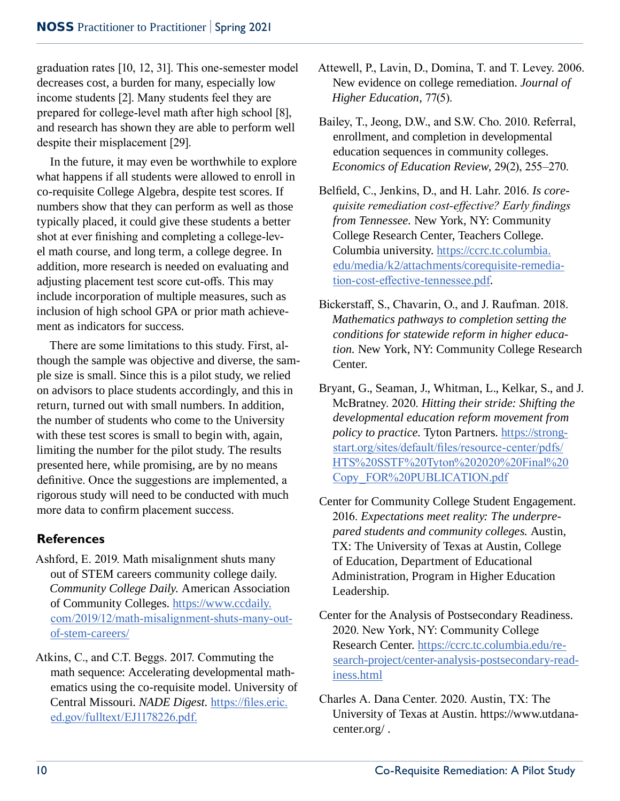graduation rates [10, 12, 31]. This one-semester model decreases cost, a burden for many, especially low income students [2]. Many students feel they are prepared for college-level math after high school [8], and research has shown they are able to perform well despite their misplacement [29].

In the future, it may even be worthwhile to explore what happens if all students were allowed to enroll in co-requisite College Algebra, despite test scores. If numbers show that they can perform as well as those typically placed, it could give these students a better shot at ever finishing and completing a college-level math course, and long term, a college degree. In addition, more research is needed on evaluating and adjusting placement test score cut-offs. This may include incorporation of multiple measures, such as inclusion of high school GPA or prior math achievement as indicators for success.

There are some limitations to this study. First, although the sample was objective and diverse, the sample size is small. Since this is a pilot study, we relied on advisors to place students accordingly, and this in return, turned out with small numbers. In addition, the number of students who come to the University with these test scores is small to begin with, again, limiting the number for the pilot study. The results presented here, while promising, are by no means definitive. Once the suggestions are implemented, a rigorous study will need to be conducted with much more data to confirm placement success.

## **References**

- Ashford, E. 2019. Math misalignment shuts many out of STEM careers community college daily. *Community College Daily.* American Association of Community Colleges. https://www.ccdaily. com/2019/12/math-misalignment-shuts-many-outof-stem-careers/
- Atkins, C., and C.T. Beggs. 2017. Commuting the math sequence: Accelerating developmental mathematics using the co-requisite model. University of Central Missouri. *NADE Digest.* https://files.eric. ed.gov/fulltext/EJ1178226.pdf.
- Attewell, P., Lavin, D., Domina, T. and T. Levey. 2006. New evidence on college remediation. *Journal of Higher Education,* 77(5).
- Bailey, T., Jeong, D.W., and S.W. Cho. 2010. Referral, enrollment, and completion in developmental education sequences in community colleges. *Economics of Education Review,* 29(2), 255–270.
- Belfield, C., Jenkins, D., and H. Lahr. 2016. *Is corequisite remediation cost-effective? Early findings from Tennessee.* New York, NY: Community College Research Center, Teachers College. Columbia university. https://ccrc.tc.columbia. edu/media/k2/attachments/corequisite-remediation-cost-effective-tennessee.pdf.
- Bickerstaff, S., Chavarin, O., and J. Raufman. 2018. *Mathematics pathways to completion setting the conditions for statewide reform in higher education.* New York, NY: Community College Research Center.
- Bryant, G., Seaman, J., Whitman, L., Kelkar, S., and J. McBratney. 2020. *Hitting their stride: Shifting the developmental education reform movement from policy to practice*. Tyton Partners. https://strongstart.org/sites/default/files/resource-center/pdfs/ HTS%20SSTF%20Tyton%202020%20Final%20 Copy\_FOR%20PUBLICATION.pdf
- Center for Community College Student Engagement. 2016. *Expectations meet reality: The underprepared students and community colleges.* Austin, TX: The University of Texas at Austin, College of Education, Department of Educational Administration, Program in Higher Education Leadership.
- Center for the Analysis of Postsecondary Readiness. 2020. New York, NY: Community College Research Center. https://ccrc.tc.columbia.edu/research-project/center-analysis-postsecondary-readiness.html
- Charles A. Dana Center. 2020. Austin, TX: The University of Texas at Austin. https://www.utdanacenter.org/ .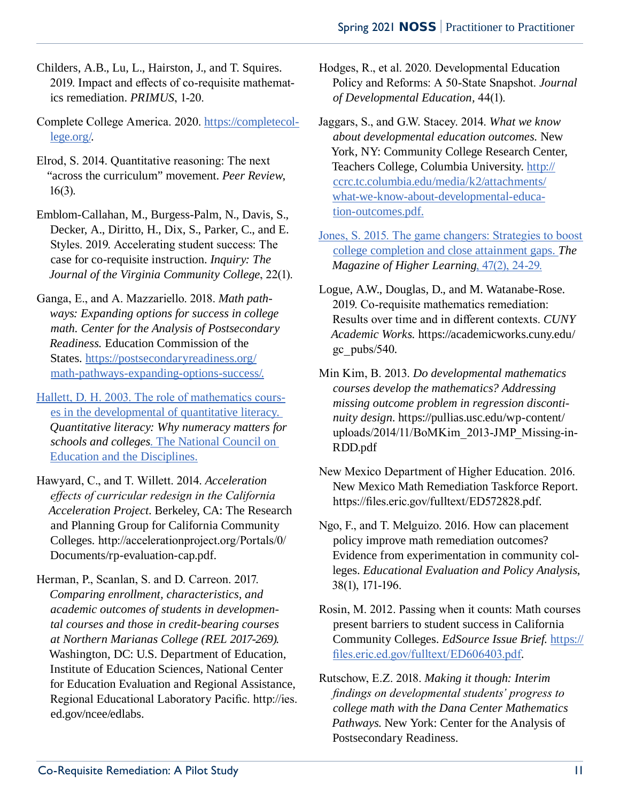- Childers, A.B., Lu, L., Hairston, J., and T. Squires. 2019. Impact and effects of co-requisite mathematics remediation. *PRIMUS*, 1-20.
- Complete College America. 2020. https://completecollege.org/.
- Elrod, S. 2014. Quantitative reasoning: The next "across the curriculum" movement. *Peer Review*, 16(3).
- Emblom-Callahan, M., Burgess-Palm, N., Davis, S., Decker, A., Diritto, H., Dix, S., Parker, C., and E. Styles. 2019. Accelerating student success: The case for co-requisite instruction. *Inquiry: The Journal of the Virginia Community College*, 22(1).
- Ganga, E., and A. Mazzariello. 2018. *Math pathways: Expanding options for success in college math. Center for the Analysis of Postsecondary Readiness.* Education Commission of the States*.* https://postsecondaryreadiness.org/ math-pathways-expanding-options-success/.
- Hallett, D. H. 2003. The role of mathematics courses in the developmental of quantitative literacy. *Quantitative literacy: Why numeracy matters for schools and colleges*. The National Council on Education and the Disciplines.
- Hawyard, C., and T. Willett. 2014. *Acceleration effects of curricular redesign in the California Acceleration Project*. Berkeley, CA: The Research and Planning Group for California Community Colleges*.* http://accelerationproject.org/Portals/0/ Documents/rp-evaluation-cap.pdf.
- Herman, P., Scanlan, S. and D. Carreon. 2017. *Comparing enrollment, characteristics, and academic outcomes of students in developmental courses and those in credit-bearing courses at Northern Marianas College (REL 2017-269)*. Washington, DC: U.S. Department of Education, Institute of Education Sciences, National Center for Education Evaluation and Regional Assistance, Regional Educational Laboratory Pacific. http://ies. ed.gov/ncee/edlabs.
- Hodges, R., et al. 2020. Developmental Education Policy and Reforms: A 50-State Snapshot. *Journal of Developmental Education,* 44(1).
- Jaggars, S., and G.W. Stacey. 2014. *What we know about developmental education outcomes.* New York, NY: Community College Research Center, Teachers College, Columbia University. http:// ccrc.tc.columbia.edu/media/k2/attachments/ what-we-know-about-developmental-education-outcomes.pdf.
- Jones, S. 2015. The game changers: Strategies to boost college completion and close attainment gaps. *The Magazine of Higher Learning*, 47(2), 24-29.
- Logue, A.W., Douglas, D., and M. Watanabe-Rose. 2019. Co-requisite mathematics remediation: Results over time and in different contexts. *CUNY Academic Works.* https://academicworks.cuny.edu/ gc  $pubs/540$ .
- Min Kim, B. 2013. *Do developmental mathematics courses develop the mathematics? Addressing missing outcome problem in regression discontinuity design*. https://pullias.usc.edu/wp-content/ uploads/2014/11/BoMKim\_2013-JMP\_Missing-in-RDD.pdf
- New Mexico Department of Higher Education. 2016. New Mexico Math Remediation Taskforce Report. https://files.eric.gov/fulltext/ED572828.pdf.
- Ngo, F., and T. Melguizo. 2016. How can placement policy improve math remediation outcomes? Evidence from experimentation in community colleges. *Educational Evaluation and Policy Analysis*, 38(1), 171-196.
- Rosin, M. 2012. Passing when it counts: Math courses present barriers to student success in California Community Colleges. *EdSource Issue Brief.* https:// files.eric.ed.gov/fulltext/ED606403.pdf.
- Rutschow, E.Z. 2018. *Making it though: Interim findings on developmental students' progress to college math with the Dana Center Mathematics Pathways*. New York: Center for the Analysis of Postsecondary Readiness.